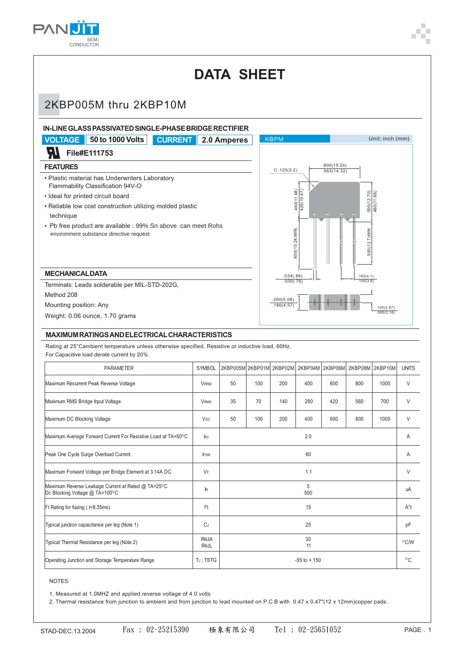

## **DATA SHEET** 2KBP005M thru 2KBP10M **IN-LINE GLASS PASSIVATED SINGLE-PHASE BRIDGE RECTIFIER VOLTAGE 50 to 1000 Volts CURRENT 2.0 Amperes** KBPM Unit: inch (mm) W **File#E111753 FEATURES** .600(15.24) C .125(3.2) $\frac{1}{563(14.32)}$ • Plastic material has Underwriters Laboratory Flammability Classification 94V-O 460(11.68) .460(11.68) 420(10.67) .420(10.67) 500(12.70) .500(12.70) 460(11.68) .460(11.68) • Ideal for printed circuit board • Reliable low cost construction utilizing molded plastic technique • Pb free product are available : 99% Sn above can meet Rohs 600(15.24)MIN. .600(15.24)MIN. 600(12.7) MIN. .500(12.7)MIN. environment substance directive request  **MECHANICAL DATA** .034(.86) .162(4.1)  $.030(-76)$  $140(3.6)$ Terminals: Leads solderable per MIL-STD-202G, Method 208 .200(5.08) Mounting position: Any  $.180(4.57)$ .105(2.67) .085(2.16) Weight: 0.06 ounce, 1.70 grams **MAXIMUM RATINGS AND ELECTRICAL CHARACTERISTICS** Rating at 25°Cambient temperature unless otherwise specified. Resistive or inductive load, 60Hz. For Capacitive load derate current by 20%.

| <b>PARAMETER</b>                                                                     | <b>SYMBOL</b>                | 2KBP005M 2KBP01M 2KBP02M 2KBP04M 2KBP06M |     |     |     |     | 2KBP08M 2KBP10M |      | <b>UNITS</b> |
|--------------------------------------------------------------------------------------|------------------------------|------------------------------------------|-----|-----|-----|-----|-----------------|------|--------------|
| Maximum Recurrent Peak Reverse Voltage                                               | <b>VRRM</b>                  | 50                                       | 100 | 200 | 400 | 600 | 800             | 1000 | V            |
| Maximum RMS Bridge Input Voltage                                                     | <b>V<sub>RMS</sub></b>       | 35                                       | 70  | 140 | 280 | 420 | 560             | 700  | V            |
| Maximum DC Blocking Voltage                                                          | <b>V<sub>DC</sub></b>        | 50                                       | 100 | 200 | 400 | 600 | 800             | 1000 | V            |
| Maximum Average Forward Current For Resistive Load at TA=50°C                        | <b>JAV</b>                   | 2.0                                      |     |     |     |     |                 |      | A            |
| Peak One Cycle Surge Overload Current                                                | <b>FSM</b>                   | 60                                       |     |     |     |     |                 |      | Α            |
| Maximum Forward Voltage per Bridge Element at 3.14A DC                               | VF                           | 1.1                                      |     |     |     |     |                 |      | V            |
| Maximum Reverse Leakage Current at Rated @ TA=25°C<br>Dc Blocking Voltage @ TA=100°C | $\mathbb{R}$                 | 5<br>500                                 |     |     |     |     |                 |      | uA           |
| Pt Rating for fusing (t<8.35ms)                                                      | P <sub>t</sub>               | 15                                       |     |     |     |     |                 |      | $A^2t$       |
| Typical junction capacitance per leg (Note 1)                                        | $C_J$                        | 25                                       |     |     |     |     |                 |      | pF           |
| Typical Thermal Resistance per leg (Note 2)                                          | <b>R</b> OJA<br>$R\theta$ JL | 30<br>11                                 |     |     |     |     |                 |      | °C/W         |
| Operating Junction and Storage Temperature Range                                     | TJ, TSTG                     | $-55$ to $+150$                          |     |     |     |     |                 |      | $^{\circ}$ C |

## NOTES:

1. Measured at 1.0MHZ and applied reverse voltage of 4.0 volts

2. Thermal resistance from junction to ambient and from junction to lead mounted on P.C.B with 0.47 x 0.47"(12 x 12mm)copper pads.